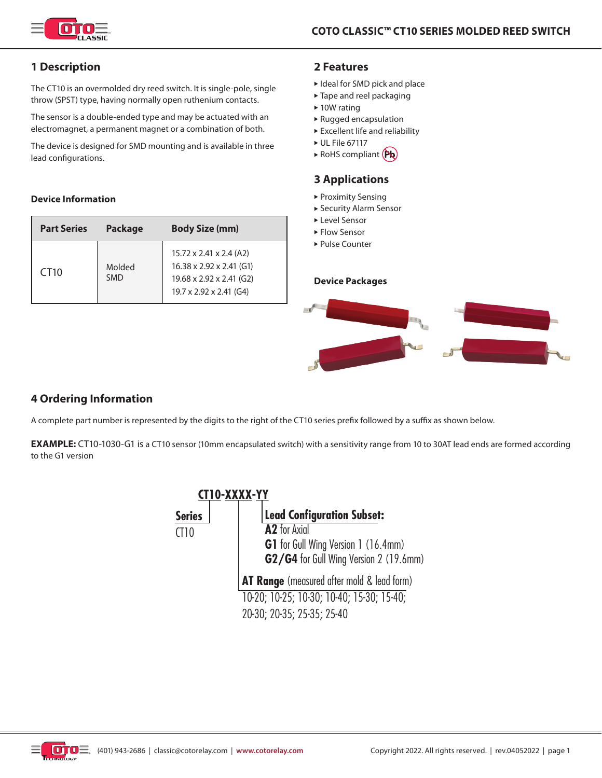

# **1 Description**

The CT10 is an overmolded dry reed switch. It is single-pole, single throw (SPST) type, having normally open ruthenium contacts.

The sensor is a double-ended type and may be actuated with an electromagnet, a permanent magnet or a combination of both.

The device is designed for SMD mounting and is available in three lead configurations.

#### **Device Information**

| <b>Part Series</b> | <b>Package</b>       | <b>Body Size (mm)</b>                                                                                                              |
|--------------------|----------------------|------------------------------------------------------------------------------------------------------------------------------------|
| CT <sub>10</sub>   | Molded<br><b>SMD</b> | $15.72 \times 2.41 \times 2.4$ (A2)<br>$16.38 \times 2.92 \times 2.41$ (G1)<br>19.68 x 2.92 x 2.41 (G2)<br>19.7 x 2.92 x 2.41 (G4) |

## **2 Features**

- $\blacktriangleright$  Ideal for SMD pick and place
- $\blacktriangleright$  Tape and reel packaging
- $\blacktriangleright$  10W rating
- $\blacktriangleright$  Rugged encapsulation
- $\blacktriangleright$  Excellent life and reliability
- $\triangleright$  UL File 67117
- RoHS compliant (Pb)

## **3 Applications**

- $\blacktriangleright$  Proximity Sensing
- ▶ Security Alarm Sensor
- ► Level Sensor
- $\blacktriangleright$  Flow Sensor
- ► Pulse Counter

#### **Device Packages**



## **4 Ordering Information**

A complete part number is represented by the digits to the right of the CT10 series prefix followed by a suffix as shown below.

**EXAMPLE:** CT10-1030-G1 is a CT10 sensor (10mm encapsulated switch) with a sensitivity range from 10 to 30AT lead ends are formed according to the G1 version

|               | CT10-XXXX-YY                                      |
|---------------|---------------------------------------------------|
| <b>Series</b> | <b>Lead Configuration Subset:</b>                 |
| C110          | A <sub>2</sub> for Axial                          |
|               | <b>G1</b> for Gull Wing Version 1 (16.4mm)        |
|               | G2/G4 for Gull Wing Version 2 (19.6mm)            |
|               | <b>AT Range</b> (measured after mold & lead form) |
|               | 10-20; 10-25; 10-30; 10-40; 15-30; 15-40;         |
|               | 20-30; 20-35; 25-35; 25-40                        |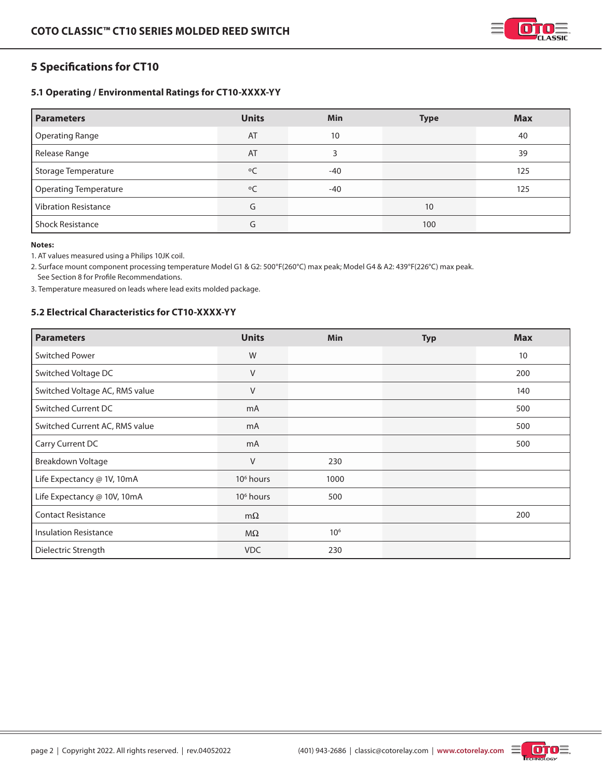

# **5 Specifications for CT10**

## **5.1 Operating / Environmental Ratings for CT10-XXXX-YY**

| <b>Parameters</b>            | <b>Units</b> | <b>Min</b> | <b>Type</b> | <b>Max</b> |
|------------------------------|--------------|------------|-------------|------------|
| <b>Operating Range</b>       | AT           | 10         |             | 40         |
| Release Range                | AT           | 3          |             | 39         |
| <b>Storage Temperature</b>   | $\circ$ C    | $-40$      |             | 125        |
| <b>Operating Temperature</b> | $\circ$      | $-40$      |             | 125        |
| <b>Vibration Resistance</b>  | G            |            | 10          |            |
| <b>Shock Resistance</b>      | G            |            | 100         |            |

#### **Notes:**

1. AT values measured using a Philips 10JK coil.

2. Surface mount component processing temperature Model G1 & G2: 500°F(260°C) max peak; Model G4 & A2: 439°F(226°C) max peak. See Section 8 for Profile Recommendations.

3. Temperature measured on leads where lead exits molded package.

## **5.2 Electrical Characteristics for CT10-XXXX-YY**

| <b>Parameters</b>              | <b>Units</b>          | <b>Min</b>      | <b>Typ</b> | <b>Max</b> |
|--------------------------------|-----------------------|-----------------|------------|------------|
| <b>Switched Power</b>          | W                     |                 |            | 10         |
| Switched Voltage DC            | $\vee$                |                 |            | 200        |
| Switched Voltage AC, RMS value | V                     |                 |            | 140        |
| <b>Switched Current DC</b>     | mA                    |                 |            | 500        |
| Switched Current AC, RMS value | mA                    |                 |            | 500        |
| Carry Current DC               | m <sub>A</sub>        |                 |            | 500        |
| Breakdown Voltage              | $\vee$                | 230             |            |            |
| Life Expectancy @ 1V, 10mA     | 10 <sup>6</sup> hours | 1000            |            |            |
| Life Expectancy @ 10V, 10mA    | 10 <sup>6</sup> hours | 500             |            |            |
| <b>Contact Resistance</b>      | $m\Omega$             |                 |            | 200        |
| <b>Insulation Resistance</b>   | $M\Omega$             | 10 <sup>6</sup> |            |            |
| Dielectric Strength            | <b>VDC</b>            | 230             |            |            |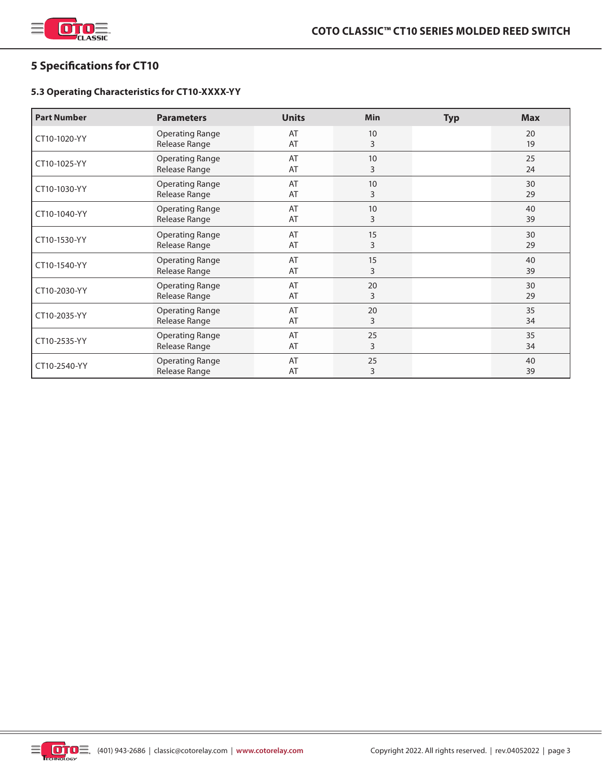

# **5 Specifications for CT10**

## **5.3 Operating Characteristics for CT10-XXXX-YY**

| <b>Part Number</b> | <b>Parameters</b>                       | <b>Units</b> | <b>Min</b> | <b>Typ</b> | <b>Max</b> |
|--------------------|-----------------------------------------|--------------|------------|------------|------------|
| CT10-1020-YY       | <b>Operating Range</b><br>Release Range | AT<br>AT     | 10<br>3    |            | 20<br>19   |
| CT10-1025-YY       | <b>Operating Range</b><br>Release Range | AT<br>AT     | 10<br>3    |            | 25<br>24   |
| CT10-1030-YY       | <b>Operating Range</b><br>Release Range | AT<br>AT     | 10<br>3    |            | 30<br>29   |
| CT10-1040-YY       | <b>Operating Range</b><br>Release Range | AT<br>AT     | 10<br>3    |            | 40<br>39   |
| CT10-1530-YY       | <b>Operating Range</b><br>Release Range | AT<br>AT     | 15<br>3    |            | 30<br>29   |
| CT10-1540-YY       | <b>Operating Range</b><br>Release Range | AT<br>AT     | 15<br>3    |            | 40<br>39   |
| CT10-2030-YY       | <b>Operating Range</b><br>Release Range | AT<br>AT     | 20<br>3    |            | 30<br>29   |
| CT10-2035-YY       | <b>Operating Range</b><br>Release Range | AT<br>AT     | 20<br>3    |            | 35<br>34   |
| CT10-2535-YY       | <b>Operating Range</b><br>Release Range | AT<br>AT     | 25<br>3    |            | 35<br>34   |
| CT10-2540-YY       | <b>Operating Range</b><br>Release Range | AT<br>AT     | 25<br>3    |            | 40<br>39   |

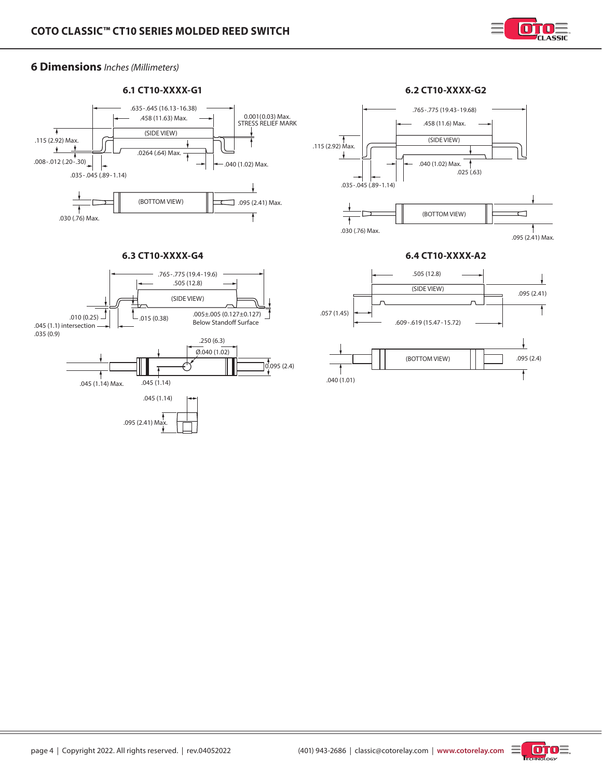

# **6 Dimensions** *Inches (Millimeters)*







### **6.3 CT10-XXXX-G4 6.4 CT10-XXXX-A2**



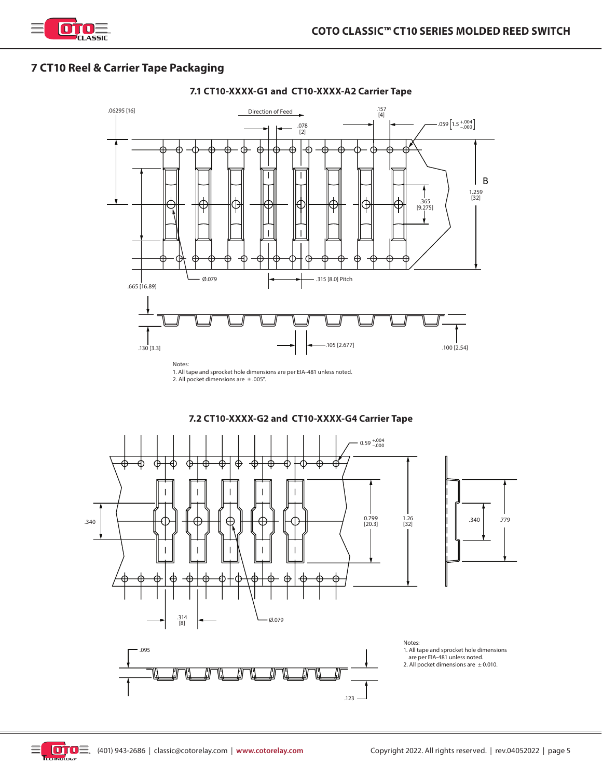

# **7 CT10 Reel & Carrier Tape Packaging**



2. All pocket dimensions are  $\pm .005$ ".



**7.2 CT10-XXXX-G2 and CT10-XXXX-G4 Carrier Tape**



## **7.1 CT10-XXXX-G1 and CT10-XXXX-A2 Carrier Tape**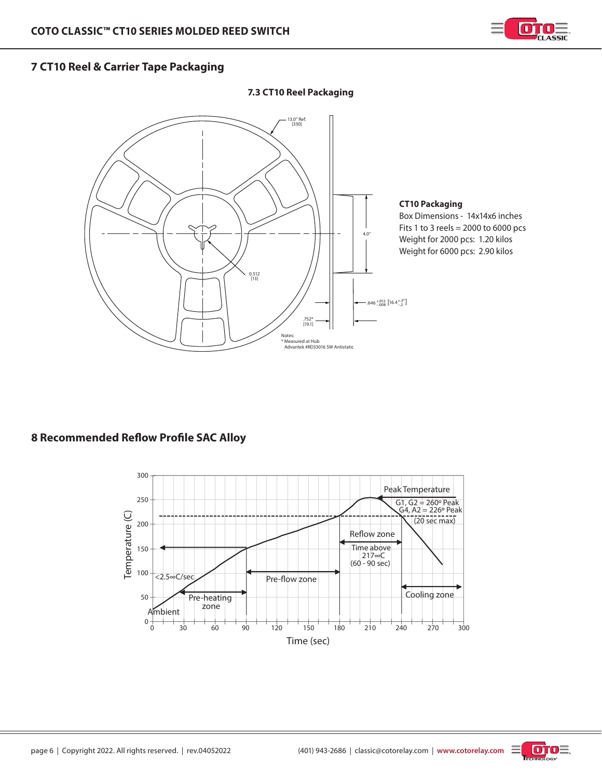

# **7 CT10 Reel & Carrier Tape Packaging**

## **7.3 CT10 Reel Packaging**



## **CT10 Packaging**

Box Dimensions - 14x14x6 inches Fits 1 to 3 reels =  $2000$  to 6000 pcs Weight for 2000 pcs: 1.20 kilos Weight for 6000 pcs: 2.90 kilos

# **8 Recommended Reflow Profile SAC Alloy**



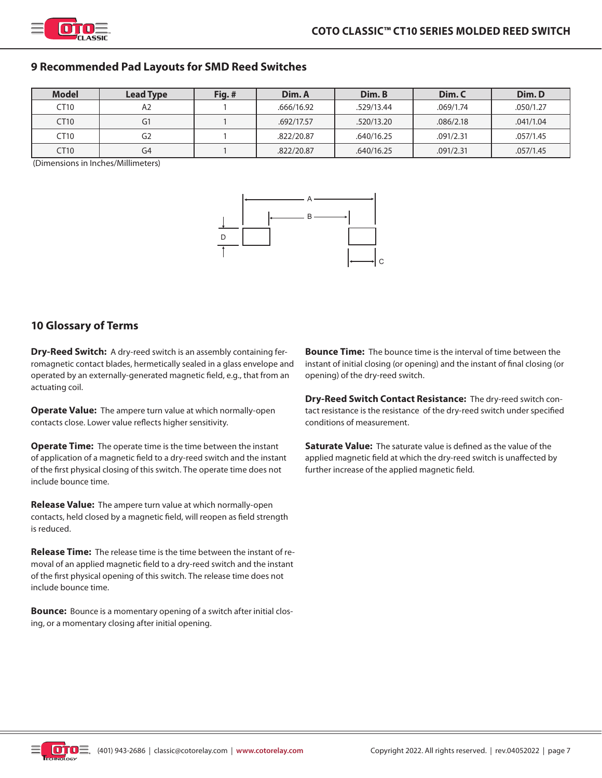

## **9 Recommended Pad Layouts for SMD Reed Switches**

| <b>Model</b> | <b>Lead Type</b> | Fig.# | Dim. A     | Dim. B     | Dim. C    | Dim. D    |
|--------------|------------------|-------|------------|------------|-----------|-----------|
| CT10         | A2               |       | .666/16.92 | .529/13.44 | .069/1.74 | .050/1.27 |
| CT10         | G1               |       | .692/17.57 | .520/13.20 | .086/2.18 | .041/1.04 |
| CT10         | G2               |       | .822/20.87 | .640/16.25 | .091/2.31 | .057/1.45 |
| CT10         | G4               |       | .822/20.87 | .640/16.25 | .091/2.31 | .057/1.45 |

(Dimensions in Inches/Millimeters)



## **10 Glossary of Terms**

**Dry-Reed Switch:** A dry-reed switch is an assembly containing ferromagnetic contact blades, hermetically sealed in a glass envelope and operated by an externally-generated magnetic field, e.g., that from an actuating coil.

**Operate Value:** The ampere turn value at which normally-open contacts close. Lower value reflects higher sensitivity.

**Operate Time:** The operate time is the time between the instant of application of a magnetic field to a dry-reed switch and the instant of the first physical closing of this switch. The operate time does not include bounce time.

**Release Value:** The ampere turn value at which normally-open contacts, held closed by a magnetic field, will reopen as field strength is reduced.

**Release Time:** The release time is the time between the instant of removal of an applied magnetic field to a dry-reed switch and the instant of the first physical opening of this switch. The release time does not include bounce time.

**Bounce:** Bounce is a momentary opening of a switch after initial closing, or a momentary closing after initial opening.

**Bounce Time:** The bounce time is the interval of time between the instant of initial closing (or opening) and the instant of final closing (or opening) of the dry-reed switch.

**Dry-Reed Switch Contact Resistance:** The dry-reed switch contact resistance is the resistance of the dry-reed switch under specified conditions of measurement.

**Saturate Value:** The saturate value is defined as the value of the applied magnetic field at which the dry-reed switch is unaffected by further increase of the applied magnetic field.

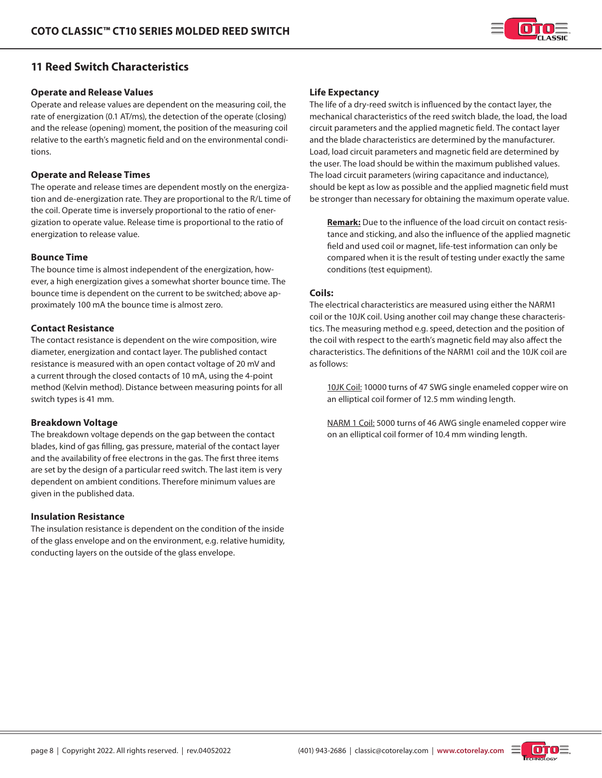

## **11 Reed Switch Characteristics**

#### **Operate and Release Values**

Operate and release values are dependent on the measuring coil, the rate of energization (0.1 AT/ms), the detection of the operate (closing) and the release (opening) moment, the position of the measuring coil relative to the earth's magnetic field and on the environmental conditions.

### **Operate and Release Times**

The operate and release times are dependent mostly on the energization and de-energization rate. They are proportional to the R/L time of the coil. Operate time is inversely proportional to the ratio of energization to operate value. Release time is proportional to the ratio of energization to release value.

#### **Bounce Time**

The bounce time is almost independent of the energization, however, a high energization gives a somewhat shorter bounce time. The bounce time is dependent on the current to be switched; above approximately 100 mA the bounce time is almost zero.

#### **Contact Resistance**

The contact resistance is dependent on the wire composition, wire diameter, energization and contact layer. The published contact resistance is measured with an open contact voltage of 20 mV and a current through the closed contacts of 10 mA, using the 4-point method (Kelvin method). Distance between measuring points for all switch types is 41 mm.

### **Breakdown Voltage**

The breakdown voltage depends on the gap between the contact blades, kind of gas filling, gas pressure, material of the contact layer and the availability of free electrons in the gas. The first three items are set by the design of a particular reed switch. The last item is very dependent on ambient conditions. Therefore minimum values are given in the published data.

#### **Insulation Resistance**

The insulation resistance is dependent on the condition of the inside of the glass envelope and on the environment, e.g. relative humidity, conducting layers on the outside of the glass envelope.

### **Life Expectancy**

The life of a dry-reed switch is influenced by the contact layer, the mechanical characteristics of the reed switch blade, the load, the load circuit parameters and the applied magnetic field. The contact layer and the blade characteristics are determined by the manufacturer. Load, load circuit parameters and magnetic field are determined by the user. The load should be within the maximum published values. The load circuit parameters (wiring capacitance and inductance), should be kept as low as possible and the applied magnetic field must be stronger than necessary for obtaining the maximum operate value.

**Remark:** Due to the influence of the load circuit on contact resistance and sticking, and also the influence of the applied magnetic field and used coil or magnet, life-test information can only be compared when it is the result of testing under exactly the same conditions (test equipment).

#### **Coils:**

The electrical characteristics are measured using either the NARM1 coil or the 10JK coil. Using another coil may change these characteristics. The measuring method e.g. speed, detection and the position of the coil with respect to the earth's magnetic field may also affect the characteristics. The definitions of the NARM1 coil and the 10JK coil are as follows:

10JK Coil: 10000 turns of 47 SWG single enameled copper wire on an elliptical coil former of 12.5 mm winding length.

NARM 1 Coil: 5000 turns of 46 AWG single enameled copper wire on an elliptical coil former of 10.4 mm winding length.

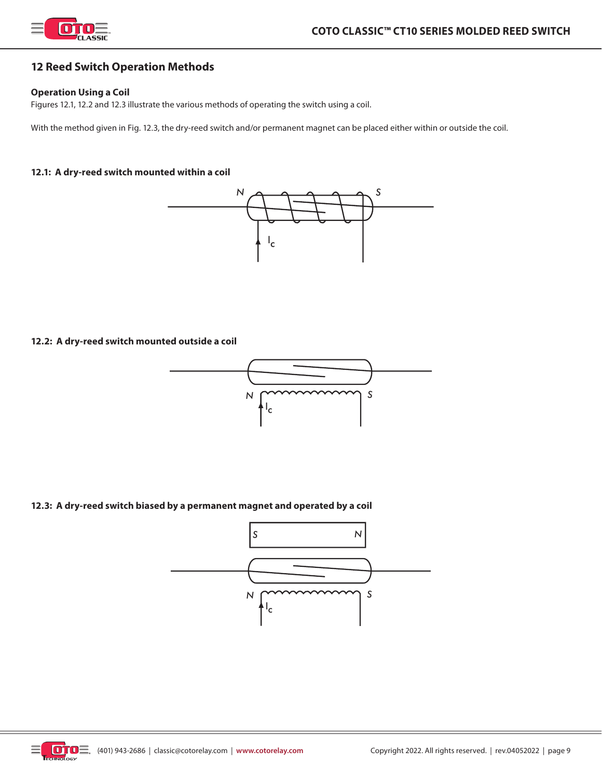

## **12 Reed Switch Operation Methods**

### **Operation Using a Coil**

Figures 12.1, 12.2 and 12.3 illustrate the various methods of operating the switch using a coil.

With the method given in Fig. 12.3, the dry-reed switch and/or permanent magnet can be placed either within or outside the coil.

### **12.1: A dry-reed switch mounted within a coil**



#### **12.2: A dry-reed switch mounted outside a coil**



### **12.3: A dry-reed switch biased by a permanent magnet and operated by a coil**



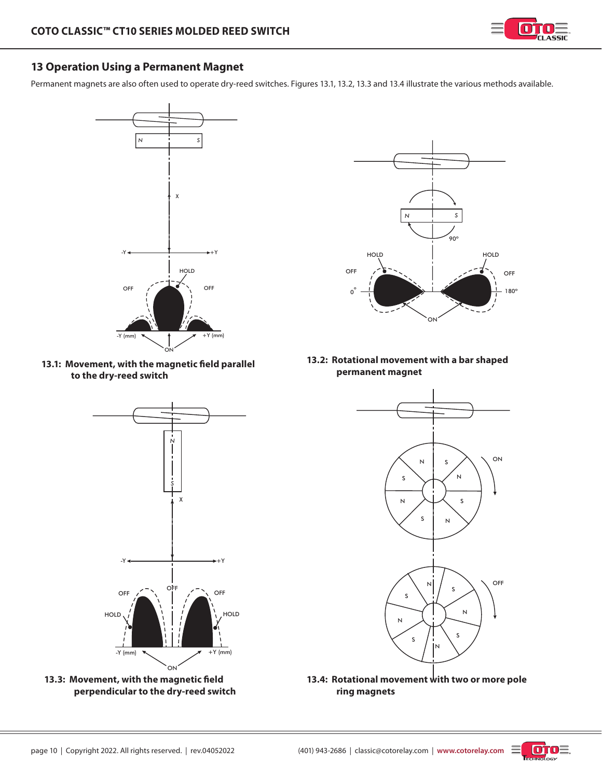

# **13 Operation Using a Permanent Magnet**

Permanent magnets are also often used to operate dry-reed switches. Figures 13.1, 13.2, 13.3 and 13.4 illustrate the various methods available.







**<sup>13.3:</sup> Movement, with the magnetic field perpendicular to the dry-reed switch**



**13.2: Rotational movement with a bar shaped permanent magnet**



**13.4: Rotational movement with two or more pole ring magnets**

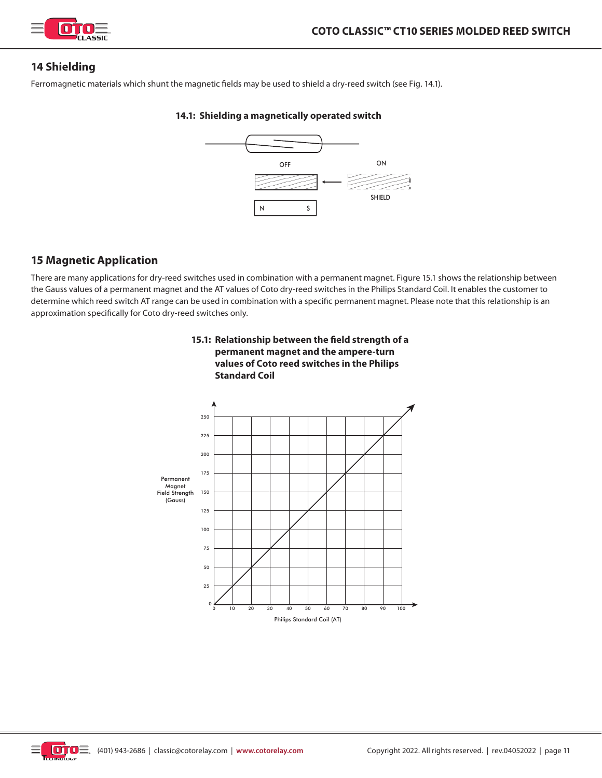

## **14 Shielding**

Ferromagnetic materials which shunt the magnetic fields may be used to shield a dry-reed switch (see Fig. 14.1).

### **14.1: Shielding a magnetically operated switch**



## **15 Magnetic Application**

There are many applications for dry-reed switches used in combination with a permanent magnet. Figure 15.1 shows the relationship between the Gauss values of a permanent magnet and the AT values of Coto dry-reed switches in the Philips Standard Coil. It enables the customer to determine which reed switch AT range can be used in combination with a specific permanent magnet. Please note that this relationship is an approximation specifically for Coto dry-reed switches only.



### **15.1: Relationship between the field strength of a permanent magnet and the ampere-turn values of Coto reed switches in the Philips Standard Coil**